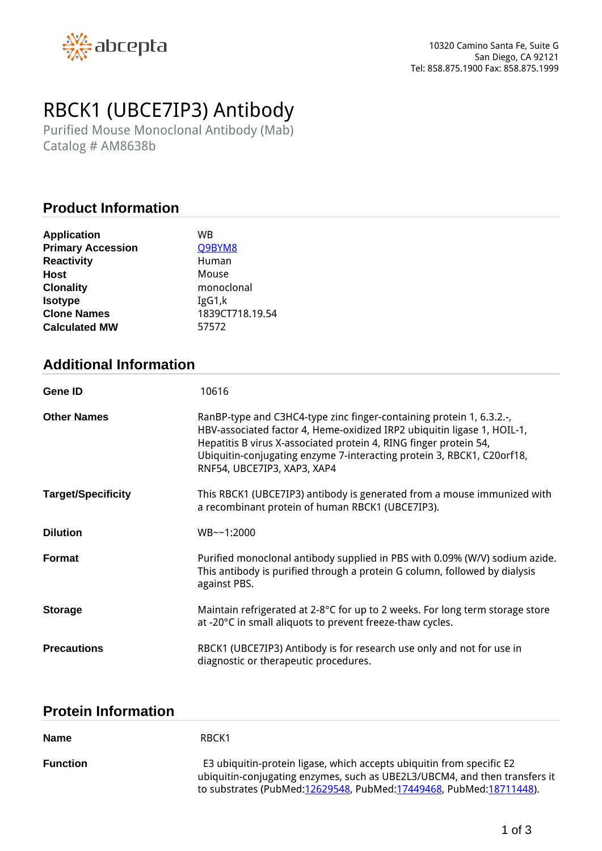

# *RBCK1 (UBCE7IP3) Antibody*

*Purified Mouse Monoclonal Antibody (Mab) Catalog # AM8638b*

## **Product Information**

| <b>Primary Accession</b><br>Q9BYM8<br><b>Reactivity</b><br>Human<br>Host<br>Mouse |
|-----------------------------------------------------------------------------------|
|                                                                                   |
|                                                                                   |
|                                                                                   |
| monoclonal<br><b>Clonality</b>                                                    |
| <b>Isotype</b><br>IgG1,k                                                          |
| 1839CT718.19.54<br><b>Clone Names</b>                                             |
| <b>Calculated MW</b><br>57572                                                     |

## **Additional Information**

| Gene ID                   | 10616                                                                                                                                                                                                                                                                                                                         |
|---------------------------|-------------------------------------------------------------------------------------------------------------------------------------------------------------------------------------------------------------------------------------------------------------------------------------------------------------------------------|
| <b>Other Names</b>        | RanBP-type and C3HC4-type zinc finger-containing protein 1, 6.3.2.-,<br>HBV-associated factor 4, Heme-oxidized IRP2 ubiquitin ligase 1, HOIL-1,<br>Hepatitis B virus X-associated protein 4, RING finger protein 54,<br>Ubiquitin-conjugating enzyme 7-interacting protein 3, RBCK1, C20orf18,<br>RNF54, UBCE7IP3, XAP3, XAP4 |
| <b>Target/Specificity</b> | This RBCK1 (UBCE7IP3) antibody is generated from a mouse immunized with<br>a recombinant protein of human RBCK1 (UBCE7IP3).                                                                                                                                                                                                   |
| <b>Dilution</b>           | WB~~1:2000                                                                                                                                                                                                                                                                                                                    |
| <b>Format</b>             | Purified monoclonal antibody supplied in PBS with 0.09% (W/V) sodium azide.<br>This antibody is purified through a protein G column, followed by dialysis<br>against PBS.                                                                                                                                                     |
| <b>Storage</b>            | Maintain refrigerated at 2-8°C for up to 2 weeks. For long term storage store<br>at -20°C in small aliquots to prevent freeze-thaw cycles.                                                                                                                                                                                    |
| <b>Precautions</b>        | RBCK1 (UBCE7IP3) Antibody is for research use only and not for use in<br>diagnostic or therapeutic procedures.                                                                                                                                                                                                                |

#### **Protein Information**

| <b>Name</b>     | RBCK1                                                                                                                                                                                                                        |
|-----------------|------------------------------------------------------------------------------------------------------------------------------------------------------------------------------------------------------------------------------|
| <b>Function</b> | E3 ubiquitin-protein ligase, which accepts ubiquitin from specific E2<br>ubiquitin-conjugating enzymes, such as UBE2L3/UBCM4, and then transfers it<br>to substrates (PubMed: 12629548, PubMed: 17449468, PubMed: 18711448). |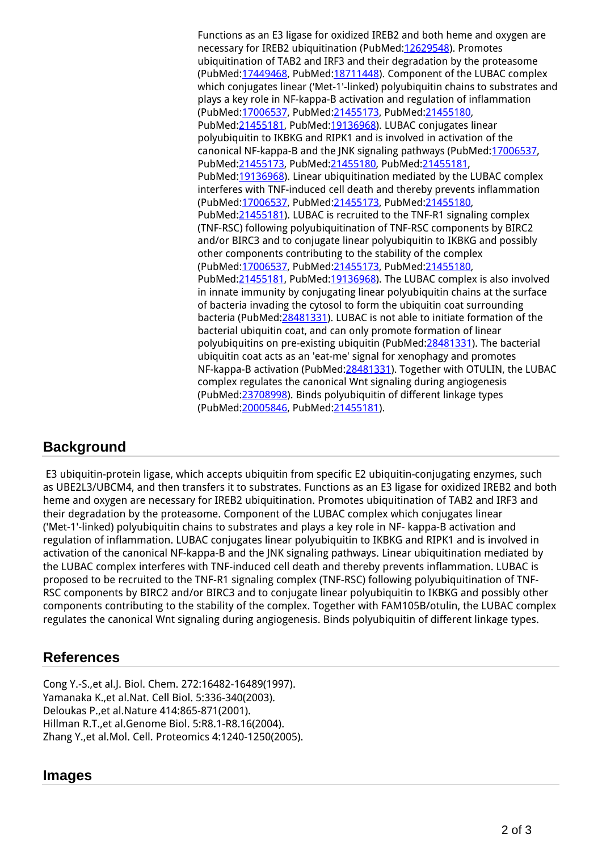*Functions as an E3 ligase for oxidized IREB2 and both heme and oxygen are necessary for IREB2 ubiquitination (PubMed:[12629548\)](http://www.uniprot.org/citations/12629548). Promotes ubiquitination of TAB2 and IRF3 and their degradation by the proteasome (PubMed[:17449468](http://www.uniprot.org/citations/17449468), PubMed[:18711448](http://www.uniprot.org/citations/18711448)). Component of the LUBAC complex which conjugates linear ('Met-1'-linked) polyubiquitin chains to substrates and plays a key role in NF-kappa-B activation and regulation of inflammation (PubMed[:17006537](http://www.uniprot.org/citations/17006537), PubMed[:21455173](http://www.uniprot.org/citations/21455173), PubMed[:21455180,](http://www.uniprot.org/citations/21455180) PubMed[:21455181](http://www.uniprot.org/citations/21455181), PubMed[:19136968\)](http://www.uniprot.org/citations/19136968). LUBAC conjugates linear polyubiquitin to IKBKG and RIPK1 and is involved in activation of the canonical NF-kappa-B and the JNK signaling pathways (PubMed[:17006537](http://www.uniprot.org/citations/17006537), PubMed[:21455173](http://www.uniprot.org/citations/21455173), PubMed[:21455180,](http://www.uniprot.org/citations/21455180) PubMed:[21455181,](http://www.uniprot.org/citations/21455181) PubMed[:19136968](http://www.uniprot.org/citations/19136968)). Linear ubiquitination mediated by the LUBAC complex interferes with TNF-induced cell death and thereby prevents inflammation (PubMed[:17006537](http://www.uniprot.org/citations/17006537), PubMed[:21455173](http://www.uniprot.org/citations/21455173), PubMed[:21455180,](http://www.uniprot.org/citations/21455180) PubMed[:21455181](http://www.uniprot.org/citations/21455181)). LUBAC is recruited to the TNF-R1 signaling complex (TNF-RSC) following polyubiquitination of TNF-RSC components by BIRC2 and/or BIRC3 and to conjugate linear polyubiquitin to IKBKG and possibly other components contributing to the stability of the complex (PubMed[:17006537](http://www.uniprot.org/citations/17006537), PubMed[:21455173](http://www.uniprot.org/citations/21455173), PubMed[:21455180,](http://www.uniprot.org/citations/21455180) PubMed[:21455181](http://www.uniprot.org/citations/21455181), PubMed[:19136968\)](http://www.uniprot.org/citations/19136968). The LUBAC complex is also involved in innate immunity by conjugating linear polyubiquitin chains at the surface of bacteria invading the cytosol to form the ubiquitin coat surrounding bacteria (PubMed[:28481331\)](http://www.uniprot.org/citations/28481331). LUBAC is not able to initiate formation of the bacterial ubiquitin coat, and can only promote formation of linear polyubiquitins on pre-existing ubiquitin (PubMed[:28481331\)](http://www.uniprot.org/citations/28481331). The bacterial ubiquitin coat acts as an 'eat-me' signal for xenophagy and promotes NF-kappa-B activation (PubMed[:28481331\)](http://www.uniprot.org/citations/28481331). Together with OTULIN, the LUBAC complex regulates the canonical Wnt signaling during angiogenesis (PubMed[:23708998](http://www.uniprot.org/citations/23708998)). Binds polyubiquitin of different linkage types (PubMed[:20005846](http://www.uniprot.org/citations/20005846), PubMed[:21455181](http://www.uniprot.org/citations/21455181)).*

## **Background**

 *E3 ubiquitin-protein ligase, which accepts ubiquitin from specific E2 ubiquitin-conjugating enzymes, such as UBE2L3/UBCM4, and then transfers it to substrates. Functions as an E3 ligase for oxidized IREB2 and both heme and oxygen are necessary for IREB2 ubiquitination. Promotes ubiquitination of TAB2 and IRF3 and their degradation by the proteasome. Component of the LUBAC complex which conjugates linear ('Met-1'-linked) polyubiquitin chains to substrates and plays a key role in NF- kappa-B activation and regulation of inflammation. LUBAC conjugates linear polyubiquitin to IKBKG and RIPK1 and is involved in activation of the canonical NF-kappa-B and the JNK signaling pathways. Linear ubiquitination mediated by the LUBAC complex interferes with TNF-induced cell death and thereby prevents inflammation. LUBAC is proposed to be recruited to the TNF-R1 signaling complex (TNF-RSC) following polyubiquitination of TNF-RSC components by BIRC2 and/or BIRC3 and to conjugate linear polyubiquitin to IKBKG and possibly other components contributing to the stability of the complex. Together with FAM105B/otulin, the LUBAC complex regulates the canonical Wnt signaling during angiogenesis. Binds polyubiquitin of different linkage types.* 

## **References**

*Cong Y.-S.,et al.J. Biol. Chem. 272:16482-16489(1997). Yamanaka K.,et al.Nat. Cell Biol. 5:336-340(2003). Deloukas P.,et al.Nature 414:865-871(2001). Hillman R.T.,et al.Genome Biol. 5:R8.1-R8.16(2004). Zhang Y.,et al.Mol. Cell. Proteomics 4:1240-1250(2005).*

### **Images**